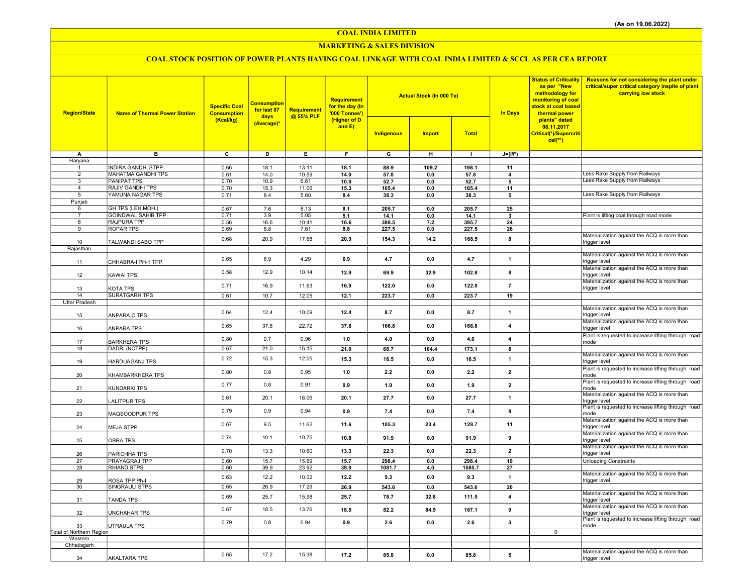COAL INDIA LIMITED

## MARKETING & SALES DIVISION

# COAL STOCK POSITION OF POWER PLANTS HAVING COAL LINKAGE WITH COAL INDIA LIMITED & SCCL AS PER CEA REPORT

| <b>Region/State</b>            | <b>Name of Thermal Power Station</b> | <b>Specific Coal</b><br><b>Consumption</b><br>(Kcal/kg) | <b>Consumption</b><br>for last 07<br>days<br>(Average)* | Requirement<br>@ 55% PLF | Requirement<br>for the day (In<br>'000 Tonnes')<br>(Higher of D<br>and $E$ ) |                         | <b>Actual Stock (In 000 Te)</b> |               | <b>In Days</b>          | <b>Status of Criticality</b><br>as per "New<br>methodology for<br>monitoring of coal<br>stock at coal based<br>thermal power<br>plants" dated<br>08.11.2017<br>Critical(*)/Supercriti<br>$cal(**)$ | <b>Reasons for not considering the plant under</b><br>critical/super critical category inspite of plant<br>carrying low stock |
|--------------------------------|--------------------------------------|---------------------------------------------------------|---------------------------------------------------------|--------------------------|------------------------------------------------------------------------------|-------------------------|---------------------------------|---------------|-------------------------|----------------------------------------------------------------------------------------------------------------------------------------------------------------------------------------------------|-------------------------------------------------------------------------------------------------------------------------------|
|                                |                                      |                                                         |                                                         |                          |                                                                              | Indigenous              | <b>Import</b>                   | <b>Total</b>  |                         |                                                                                                                                                                                                    |                                                                                                                               |
| A                              | $\overline{\mathbf{B}}$              | $\overline{\mathbf{c}}$                                 | ъ                                                       | Έ                        | F                                                                            | $\overline{\mathsf{G}}$ | $\overline{H}$                  | $\mathbf{L}$  | $J=(I/F)$               |                                                                                                                                                                                                    |                                                                                                                               |
| Haryana                        | <b>INDIRA GANDHI STPP</b>            |                                                         |                                                         |                          |                                                                              |                         |                                 |               |                         |                                                                                                                                                                                                    |                                                                                                                               |
| $\mathbf{1}$<br>$\overline{2}$ | MAHATMA GANDHI TPS                   | 0.66<br>0.61                                            | 18.1<br>14.0                                            | 13.11<br>10.59           | 18.1<br>14.0                                                                 | 88.9<br>57.8            | 109.2<br>0.0                    | 198.1<br>57.8 | 11<br>$\overline{4}$    |                                                                                                                                                                                                    | ess Rake Supply from Railways                                                                                                 |
| 3                              | <b>PANIPAT TPS</b>                   | 0.70                                                    | 10.9                                                    | 6.61                     | 10.9                                                                         | 52.7                    | 0.0                             | 52.7          | 5                       |                                                                                                                                                                                                    | Less Rake Supply from Railways                                                                                                |
| $\overline{4}$                 | <b>RAJIV GANDHI TPS</b>              | 0.70                                                    | 15.3                                                    | 11.06                    | 15.3                                                                         | 165.4                   | $0.0\,$                         | 165.4         | 11                      |                                                                                                                                                                                                    |                                                                                                                               |
| 5                              | YAMUNA NAGAR TPS                     | 0.71                                                    | 8.4                                                     | 5.60                     | 8.4                                                                          | 38.3                    | 0.0                             | 38.3          | 5                       |                                                                                                                                                                                                    | Less Rake Supply from Railways                                                                                                |
| Punjab<br>6                    | GH TPS (LEH.MOH.)                    | 0.67                                                    | 7.6                                                     | 8.13                     | 8.1                                                                          | 205.7                   | 0.0                             | 205.7         | 25                      |                                                                                                                                                                                                    |                                                                                                                               |
| $\overline{7}$                 | <b>GOINDWAL SAHIB TPP</b>            | 0.71                                                    | 3.9                                                     | 5.05                     | 5.1                                                                          | 14.1                    | 0.0                             | 14.1          | $\mathbf{3}$            |                                                                                                                                                                                                    | Plant is lifting coal through road mode                                                                                       |
| 8                              | <b>RAJPURA TPP</b>                   | 0.56                                                    | 16.6                                                    | 10.41                    | 16.6                                                                         | 388.5                   | $7.2$                           | 395.7         | 24                      |                                                                                                                                                                                                    |                                                                                                                               |
| 9                              | <b>ROPAR TPS</b>                     | 0.69                                                    | 8.8                                                     | 7.61                     | 8.8                                                                          | 227.5                   | 0.0                             | 227.5         | 26                      |                                                                                                                                                                                                    |                                                                                                                               |
| 10                             | TALWANDI SABO TPP                    | 0.68                                                    | 20.9                                                    | 17.68                    | 20.9                                                                         | 154.3                   | 14.2                            | 168.5         | 8                       |                                                                                                                                                                                                    | Materialization against the ACQ is more than<br>trigger level                                                                 |
| Rajasthan                      |                                      |                                                         |                                                         |                          |                                                                              |                         |                                 |               |                         |                                                                                                                                                                                                    |                                                                                                                               |
| 11                             | CHHABRA-I PH-1 TPP                   | 0.65                                                    | 6.9                                                     | 4.29                     | 6.9                                                                          | 4.7                     | 0.0                             | 4.7           | $\mathbf{1}$            |                                                                                                                                                                                                    | Materialization against the ACQ is more than<br>trigger level                                                                 |
|                                |                                      |                                                         |                                                         |                          |                                                                              |                         |                                 |               |                         |                                                                                                                                                                                                    | Materialization against the ACQ is more than                                                                                  |
| 12                             | KAWAI TPS                            | 0.58                                                    | 12.9                                                    | 10.14                    | 12.9                                                                         | 69.9                    | 32.9                            | 102.8         | 8                       |                                                                                                                                                                                                    | trigger level                                                                                                                 |
|                                |                                      | 0.71                                                    | 16.9                                                    | 11.63                    | 16.9                                                                         | 122.0                   | 0.0                             | 122.0         | $\overline{7}$          |                                                                                                                                                                                                    | Materialization against the ACQ is more than                                                                                  |
| 13<br>14                       | KOTA TPS<br><b>SURATGARH TPS</b>     | 0.61                                                    | 10.7                                                    | 12.05                    | 12.1                                                                         | 223.7                   | 0.0                             | 223.7         | 19                      |                                                                                                                                                                                                    | trigger level                                                                                                                 |
| Uttar Pradesh                  |                                      |                                                         |                                                         |                          |                                                                              |                         |                                 |               |                         |                                                                                                                                                                                                    |                                                                                                                               |
| 15                             | ANPARA C TPS                         | 0.64                                                    | 12.4                                                    | 10.09                    | 12.4                                                                         | 8.7                     | 0.0                             | 8.7           | $\mathbf{1}$            |                                                                                                                                                                                                    | Materialization against the ACQ is more than<br>trigger level                                                                 |
| 16                             | ANPARA TPS                           | 0.65                                                    | 37.8                                                    | 22.72                    | 37.8                                                                         | 166.8                   | 0.0                             | 166.8         | $\overline{4}$          |                                                                                                                                                                                                    | Materialization against the ACQ is more than<br>trigger level                                                                 |
| 17                             | <b>BARKHERA TPS</b>                  | 0.80                                                    | 0.7                                                     | 0.96                     | 1.0                                                                          | 4.0                     | 0.0                             | 4.0           | $\overline{4}$          |                                                                                                                                                                                                    | Plant is requested to increase lifting through road<br>mode                                                                   |
| 18                             | DADRI (NCTPP)                        | 0.67                                                    | 21.0                                                    | 16.15                    | 21.0                                                                         | 68.7                    | 104.4                           | 173.1         | 8                       |                                                                                                                                                                                                    |                                                                                                                               |
| 19                             | HARDUAGANJ TPS                       | 0.72                                                    | 15.3                                                    | 12.05                    | 15.3                                                                         | 16.5                    | 0.0                             | 16.5          | $\mathbf{1}$            |                                                                                                                                                                                                    | Materialization against the ACQ is more than<br>trigger level                                                                 |
| 20                             | KHAMBARKHERA TPS                     | 0.80                                                    | 0.8                                                     | 0.95                     | 1.0                                                                          | 2.2                     | 0.0                             | 2.2           | $\mathbf{2}$            |                                                                                                                                                                                                    | Plant is requested to increase lifting through road<br>mode                                                                   |
| 21                             | KUNDARKI TPS                         | 0.77                                                    | 0.8                                                     | 0.91                     | 0.9                                                                          | 1.9                     | 0.0                             | 1.9           | $\overline{2}$          |                                                                                                                                                                                                    | Plant is requested to increase lifting through road<br>mode                                                                   |
| 22                             | LALITPUR TPS                         | 0.61                                                    | 20.1                                                    | 16.06                    | 20.1                                                                         | 27.7                    | 0.0                             | 27.7          | $\mathbf{1}$            |                                                                                                                                                                                                    | Materialization against the ACQ is more than<br>trigger level<br>Plant is requested to increase lifting through road          |
| 23                             | MAQSOODPUR TPS                       | 0.79                                                    | 0.9                                                     | 0.94                     | 0.9                                                                          | 7.4                     | 0.0                             | 7.4           | 8                       |                                                                                                                                                                                                    | mode<br>Materialization against the ACQ is more than                                                                          |
| 24                             | <b>MEJA STPP</b>                     | 0.67                                                    | 9.5                                                     | 11.62                    | 11.6                                                                         | 105.3                   | 23.4                            | 128.7         | 11                      |                                                                                                                                                                                                    | trigger level<br>Materialization against the ACQ is more than                                                                 |
| 25                             | <b>OBRA TPS</b>                      | 0.74                                                    | 10.1                                                    | 10.75                    | 10.8                                                                         | 91.9                    | 0.0                             | 91.9          | 9                       |                                                                                                                                                                                                    | trigger level<br>Materialization against the ACQ is more than                                                                 |
| 26                             | PARICHHA TPS                         | 0.70                                                    | 13.3                                                    | 10.60                    | 13.3                                                                         | 22.3                    | 0.0                             | 22.3          | $\overline{\mathbf{2}}$ |                                                                                                                                                                                                    | trigger level                                                                                                                 |
| 27                             | PRAYAGRAJ TPP                        | 0.60                                                    | 15.7                                                    | 15.69                    | 15.7                                                                         | 298.4                   | 0.0                             | 298.4         | 19                      |                                                                                                                                                                                                    | <b>Unloading Constraints</b>                                                                                                  |
| 28                             | <b>RIHAND STPS</b>                   | 0.60                                                    | 39.9                                                    | 23.92                    | 39.9                                                                         | 1081.7                  | 4.0                             | 1085.7        | 27                      |                                                                                                                                                                                                    | Materialization against the ACQ is more than                                                                                  |
| 29                             | ROSA TPP Ph-I                        | 0.63                                                    | 12.2                                                    | 10.02                    | 12.2                                                                         | 9.3                     | 0.0                             | 9.3           | $\mathbf{1}$            |                                                                                                                                                                                                    | trigger level                                                                                                                 |
| 30                             | SINGRAULI STPS                       | 0.65                                                    | 26.9                                                    | 17.29                    | 26.9                                                                         | 543.6                   | 0.0                             | 543.6         | 20                      |                                                                                                                                                                                                    |                                                                                                                               |
| 31                             | TANDA TPS                            | 0.69                                                    | 25.7                                                    | 15.98                    | 25.7                                                                         | 78.7                    | 32.8                            | 111.5         | $\overline{\mathbf{4}}$ |                                                                                                                                                                                                    | Materialization against the ACQ is more than<br>trigger level                                                                 |
| 32                             | <b>UNCHAHAR TPS</b>                  | 0.67                                                    | 18.5                                                    | 13.76                    | 18.5                                                                         | 82.2                    | 84.9                            | 167.1         | 9                       |                                                                                                                                                                                                    | Materialization against the ACQ is more than<br>trigger level                                                                 |
| 33                             | UTRAULA TPS                          | 0.79                                                    | 0.8                                                     | 0.94                     | 0.9                                                                          | 2.6                     | 0.0                             | 2.6           | 3                       |                                                                                                                                                                                                    | Plant is requested to increase lifting through road<br>mode                                                                   |
| Total of Northern Region       |                                      |                                                         |                                                         |                          |                                                                              |                         |                                 |               |                         | $\mathbf 0$                                                                                                                                                                                        |                                                                                                                               |
| Western<br>Chhatisgarh         |                                      |                                                         |                                                         |                          |                                                                              |                         |                                 |               |                         |                                                                                                                                                                                                    |                                                                                                                               |
|                                |                                      | 0.65                                                    | 17.2                                                    | 15.38                    | 17.2                                                                         | 85.8                    | 0.0                             | 85.8          | 5                       |                                                                                                                                                                                                    | Materialization against the ACQ is more than                                                                                  |
| 34                             | <b>AKALTARA TPS</b>                  |                                                         |                                                         |                          |                                                                              |                         |                                 |               |                         |                                                                                                                                                                                                    | trigger level                                                                                                                 |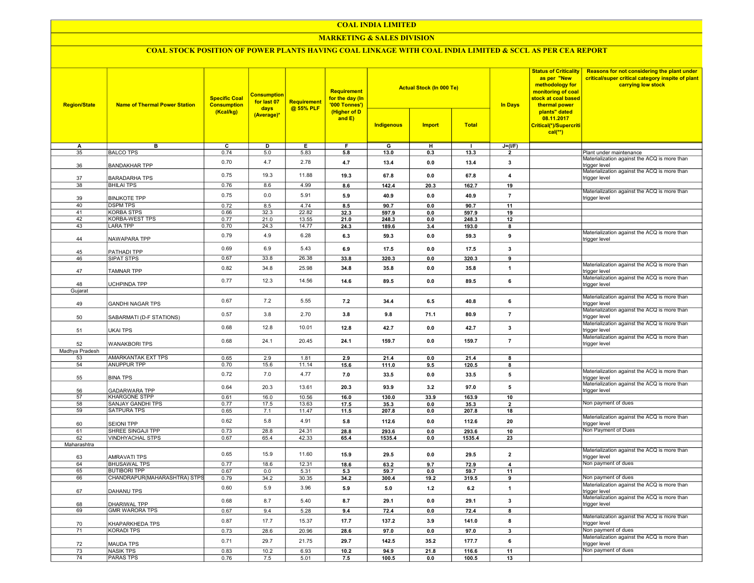#### COAL INDIA LIMITED

#### MARKETING & SALES DIVISION

# COAL STOCK POSITION OF POWER PLANTS HAVING COAL LINKAGE WITH COAL INDIA LIMITED & SCCL AS PER CEA REPORT

| <b>Region/State</b> | <b>Name of Thermal Power Station</b>             | <b>Specific Coal</b><br><b>Consumption</b> | <b>Consumption</b><br>for last 07 | <b>Requirement</b> | <b>Requirement</b><br>for the day (In<br>'000 Tonnes') |                | <b>Actual Stock (In 000 Te)</b> |                | <b>Status of Criticality</b><br>as per "New<br>methodology for<br>monitoring of coal<br>stock at coal based<br><b>In Days</b><br>thermal power | Reasons for not considering the plant under<br>critical/super critical category inspite of plant<br>carrying low stock |                                                               |
|---------------------|--------------------------------------------------|--------------------------------------------|-----------------------------------|--------------------|--------------------------------------------------------|----------------|---------------------------------|----------------|------------------------------------------------------------------------------------------------------------------------------------------------|------------------------------------------------------------------------------------------------------------------------|---------------------------------------------------------------|
|                     |                                                  | (Kcal/kg)                                  | days<br>(Average)*                | @ 55% PLF          | (Higher of D<br>and E)                                 | Indigenous     | <b>Import</b>                   | <b>Total</b>   |                                                                                                                                                | plants" dated<br>08.11.2017<br>Critical(*)/Supercriti<br>$cal$ (**)                                                    |                                                               |
| A                   | в                                                | ᢎ                                          | D                                 | Е.                 | F                                                      | G              | н                               | $\mathbf{I}$   | $J=(I/F)$                                                                                                                                      |                                                                                                                        |                                                               |
| 35                  | <b>BALCO TPS</b>                                 | 0.74                                       | 5.0                               | 5.83               | 5.8                                                    | 13.0           | 0.3                             | 13.3           | $\overline{\phantom{a}}$                                                                                                                       |                                                                                                                        | Plant under maintenance                                       |
| 36                  | <b>BANDAKHAR TPP</b>                             | 0.70                                       | 4.7                               | 2.78               | 4.7                                                    | 13.4           | 0.0                             | 13.4           | 3                                                                                                                                              |                                                                                                                        | Materialization against the ACQ is more than<br>trigger level |
| 37                  | <b>BARADARHA TPS</b>                             | 0.75                                       | 19.3                              | 11.88              | 19.3                                                   | 67.8           | 0.0                             | 67.8           | $\overline{4}$                                                                                                                                 |                                                                                                                        | Materialization against the ACQ is more than<br>trigger level |
| 38                  | <b>BHILAI TPS</b>                                | 0.76                                       | 8.6                               | 4.99               | 8.6                                                    | 142.4          | 20.3                            | 162.7          | 19                                                                                                                                             |                                                                                                                        | Materialization against the ACQ is more than                  |
| 39                  | <b>BINJKOTE TPP</b>                              | 0.75                                       | 0.0                               | 5.91               | 5.9                                                    | 40.9           | 0.0                             | 40.9           | $\overline{7}$                                                                                                                                 |                                                                                                                        | trigger level                                                 |
| 40<br>41            | <b>DSPM TPS</b>                                  | 0.72                                       | 8.5                               | 4.74               | 8.5                                                    | 90.7           | 0.0                             | 90.7           | 11                                                                                                                                             |                                                                                                                        |                                                               |
| 42                  | <b>KORBA STPS</b><br><b>KORBA-WEST TPS</b>       | 0.66<br>0.77                               | 32.3<br>21.0                      | 22.82              | 32.3<br>21.0                                           | 597.9<br>248.3 | 0.0<br>0.0                      | 597.9<br>248.3 | 19<br>12                                                                                                                                       |                                                                                                                        |                                                               |
| 43                  | <b>LARA TPP</b>                                  | 0.70                                       | 24.3                              | 13.55<br>14.77     | 24.3                                                   |                | 3.4                             | 193.0          | 8                                                                                                                                              |                                                                                                                        |                                                               |
|                     |                                                  |                                            |                                   |                    |                                                        | 189.6          |                                 |                |                                                                                                                                                |                                                                                                                        | Materialization against the ACQ is more than                  |
| 44                  | NAWAPARA TPP                                     | 0.79                                       | 4.9                               | 6.28               | 6.3                                                    | 59.3           | 0.0                             | 59.3           | 9                                                                                                                                              |                                                                                                                        | trigger level                                                 |
| 45                  | PATHADI TPP                                      | 0.69                                       | 6.9                               | 5.43               | 6.9                                                    | 17.5           | 0.0                             | 17.5           | $\mathbf{3}$                                                                                                                                   |                                                                                                                        |                                                               |
| 46                  | SIPAT STPS                                       | 0.67                                       | 33.8                              | 26.38              | 33.8                                                   | 320.3          | 0.0                             | 320.3          | 9                                                                                                                                              |                                                                                                                        |                                                               |
| 47                  | <b>TAMNAR TPP</b>                                | 0.82                                       | 34.8                              | 25.98              | 34.8                                                   | 35.8           | 0.0                             | 35.8           | $\mathbf{1}$                                                                                                                                   |                                                                                                                        | Materialization against the ACQ is more than<br>trigger level |
|                     |                                                  | 0.77                                       | 12.3                              | 14.56              | 14.6                                                   | 89.5           | 0.0                             | 89.5           | 6                                                                                                                                              |                                                                                                                        | Materialization against the ACQ is more than                  |
| 48                  | <b>UCHPINDA TPP</b>                              |                                            |                                   |                    |                                                        |                |                                 |                |                                                                                                                                                |                                                                                                                        | trigger level                                                 |
| Gujarat             |                                                  |                                            |                                   |                    |                                                        |                |                                 |                |                                                                                                                                                |                                                                                                                        | Materialization against the ACQ is more than                  |
| 49                  | <b>GANDHI NAGAR TPS</b>                          | 0.67                                       | 7.2                               | 5.55               | 7.2                                                    | 34.4           | 6.5                             | 40.8           | 6                                                                                                                                              |                                                                                                                        | rigger level                                                  |
| 50                  | SABARMATI (D-F STATIONS)                         | 0.57                                       | 3.8                               | 2.70               | 3.8                                                    | 9.8            | 71.1                            | 80.9           | $\overline{7}$                                                                                                                                 |                                                                                                                        | Materialization against the ACQ is more than<br>trigger level |
| 51                  | <b>UKAI TPS</b>                                  | 0.68                                       | 12.8                              | 10.01              | 12.8                                                   | 42.7           | 0.0                             | 42.7           | 3                                                                                                                                              |                                                                                                                        | Materialization against the ACQ is more than<br>trigger level |
| 52                  | <b>WANAKBORI TPS</b>                             | 0.68                                       | 24.1                              | 20.45              | 24.1                                                   | 159.7          | 0.0                             | 159.7          | $\overline{7}$                                                                                                                                 |                                                                                                                        | Materialization against the ACQ is more than<br>trigger level |
| Madhya Pradesh      |                                                  |                                            |                                   |                    |                                                        |                |                                 |                |                                                                                                                                                |                                                                                                                        |                                                               |
| 53                  | AMARKANTAK EXT TPS                               | 0.65                                       | 2.9                               | 1.81               | 2.9                                                    | 21.4           | 0.0                             | 21.4           | 8                                                                                                                                              |                                                                                                                        |                                                               |
| 54                  | <b>ANUPPUR TPP</b>                               | 0.70                                       | 15.6                              | 11.14              | 15.6                                                   | 111.0          | 9.5                             | 120.5          | 8                                                                                                                                              |                                                                                                                        |                                                               |
| 55                  | <b>BINA TPS</b>                                  | 0.72                                       | 7.0                               | 4.77               | 7.0                                                    | 33.5           | 0.0                             | 33.5           | 5                                                                                                                                              |                                                                                                                        | Materialization against the ACQ is more than<br>trigger level |
| 56                  | <b>GADARWARA TPP</b>                             | 0.64                                       | 20.3                              | 13.61              | 20.3                                                   | 93.9           | 3.2                             | 97.0           | 5                                                                                                                                              |                                                                                                                        | Materialization against the ACQ is more than<br>trigger level |
| 57<br>58            | <b>KHARGONE STPP</b><br><b>SANJAY GANDHI TPS</b> | 0.61                                       | 16.0                              | 10.56              | 16.0                                                   | 130.0          | 33.9                            | 163.9          | 10                                                                                                                                             |                                                                                                                        | Non payment of dues                                           |
| 59                  | <b>SATPURA TPS</b>                               | 0.77<br>0.65                               | 17.5<br>7.1                       | 13.63<br>11.47     | 17.5<br>11.5                                           | 35.3<br>207.8  | 0.0<br>0.0                      | 35.3<br>207.8  | $\overline{2}$<br>18                                                                                                                           |                                                                                                                        |                                                               |
| 60                  | <b>SEIONI TPP</b>                                | 0.62                                       | 5.8                               | 4.91               | 5.8                                                    | 112.6          | 0.0                             | 112.6          | 20                                                                                                                                             |                                                                                                                        | Materialization against the ACQ is more than<br>trigger level |
| 61                  | SHREE SINGAJI TPP                                | 0.73                                       | 28.8                              | 24.31              | 28.8                                                   | 293.6          | 0.0                             | 293.6          | 10                                                                                                                                             |                                                                                                                        | Non Payment of Dues                                           |
| 62                  | <b>VINDHYACHAL STPS</b>                          | 0.67                                       | 65.4                              | 42.33              | 65.4                                                   | 1535.4         | 0.0                             | 1535.4         | 23                                                                                                                                             |                                                                                                                        |                                                               |
| Maharashtra         |                                                  |                                            |                                   |                    |                                                        |                |                                 |                |                                                                                                                                                |                                                                                                                        |                                                               |
| 63                  | <b>AMRAVATI TPS</b>                              | 0.65                                       | 15.9                              | 11.60              | 15.9                                                   | 29.5           | 0.0                             | 29.5           | $\overline{2}$                                                                                                                                 |                                                                                                                        | Materialization against the ACQ is more than<br>trigger level |
| 64                  | <b>BHUSAWAL TPS</b>                              | 0.77                                       | 18.6                              | 12.31              | 18.6                                                   | 63.2           | 9.7                             | 72.9           | $\overline{4}$                                                                                                                                 |                                                                                                                        | Non payment of dues                                           |
| 65                  | <b>BUTIBORI TPP</b>                              | 0.67                                       | 0.0                               | 5.31               | 5.3                                                    | 59.7           | 0.0                             | 59.7           | 11                                                                                                                                             |                                                                                                                        |                                                               |
| 66                  | CHANDRAPUR(MAHARASHTRA) STPS                     | 0.79                                       | 34.2                              | 30.35              | 34.2                                                   | 300.4          | 19.2                            | 319.5          | 9                                                                                                                                              |                                                                                                                        | Non payment of dues                                           |
| 67                  | DAHANU TPS                                       | 0.60                                       | 5.9                               | 3.96               | 5.9                                                    | 5.0            | $1.2$                           | 6.2            | $\overline{1}$                                                                                                                                 |                                                                                                                        | Materialization against the ACQ is more than<br>trigger level |
| 68                  | DHARIWAL TPP                                     | 0.68                                       | 8.7                               | 5.40               | 8.7                                                    | 29.1           | 0.0                             | 29.1           | $\mathbf{3}$                                                                                                                                   |                                                                                                                        | Materialization against the ACQ is more than<br>trigger level |
| 69                  | <b>GMR WARORA TPS</b>                            | 0.67                                       | 9.4                               | 5.28               | 9.4                                                    | 72.4           | 0.0                             | 72.4           | 8                                                                                                                                              |                                                                                                                        |                                                               |
| 70                  | KHAPARKHEDA TPS                                  | 0.87                                       | 17.7                              | 15.37              | 17.7                                                   | 137.2          | 3.9                             | 141.0          | 8                                                                                                                                              |                                                                                                                        | Materialization against the ACQ is more than<br>trigger level |
| 71                  | <b>KORADI TPS</b>                                | 0.73                                       | 28.6                              | 20.96              | 28.6                                                   | 97.0           | 0.0                             | 97.0           | $\mathbf{3}$                                                                                                                                   |                                                                                                                        | Non payment of dues                                           |
| 72                  | <b>MAUDA TPS</b>                                 | 0.71                                       | 29.7                              | 21.75              | 29.7                                                   | 142.5          | 35.2                            | 177.7          | 6                                                                                                                                              |                                                                                                                        | Materialization against the ACQ is more than<br>trigger level |
| 73                  | <b>NASIK TPS</b>                                 | 0.83                                       | 10.2                              | 6.93               | 10.2                                                   | 94.9           | 21.8                            | 116.6          | 11                                                                                                                                             |                                                                                                                        | Non payment of dues                                           |
| 74                  | <b>PARAS TPS</b>                                 | 0.76                                       | 7.5                               | 5.01               | 7.5                                                    | 100.5          | 0.0                             | 100.5          | 13                                                                                                                                             |                                                                                                                        |                                                               |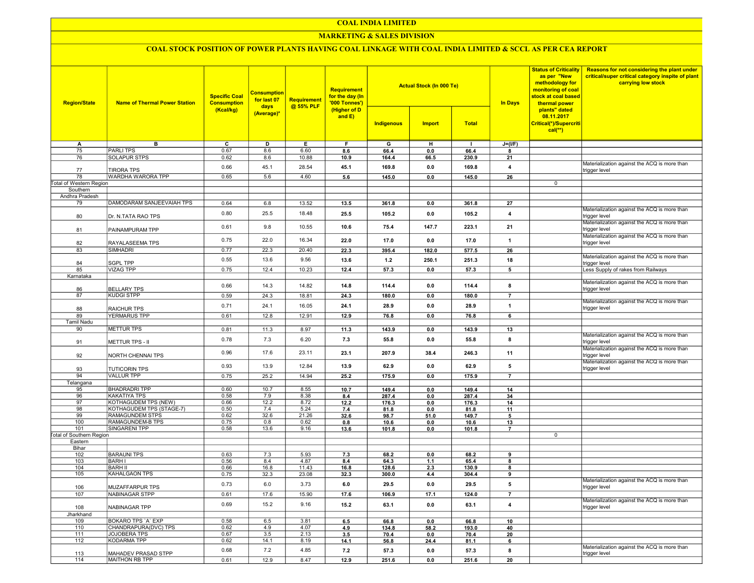## COAL INDIA LIMITED

## **MARKETING & SALES DIVISION**

# COAL STOCK POSITION OF POWER PLANTS HAVING COAL LINKAGE WITH COAL INDIA LIMITED & SCCL AS PER CEA REPORT

| <b>Region/State</b>             | <b>Name of Thermal Power Station</b> | <b>Specific Coal</b><br><b>Consumption</b><br>(Kcal/kg) | <b>Consumption</b><br>for last 07<br>days<br>(Average)* | <b>Requirement</b><br>@ 55% PLF | <b>Requirement</b><br>for the day (In<br>'000 Tonnes')<br>(Higher of D<br>and $E$ ) | <b>Actual Stock (In 000 Te)</b><br><b>Total</b><br>Indigenous<br><b>Import</b> |            |              | <b>In Days</b>          | <b>Status of Criticality</b><br>as per "New<br>methodology for<br>monitoring of coal<br>stock at coal based<br>thermal power<br>plants" dated<br>08.11.2017<br>Critical(*)/Supercriti<br>$cal(**)$ | Reasons for not considering the plant under<br>critical/super critical category inspite of plant<br>carrying low stock |
|---------------------------------|--------------------------------------|---------------------------------------------------------|---------------------------------------------------------|---------------------------------|-------------------------------------------------------------------------------------|--------------------------------------------------------------------------------|------------|--------------|-------------------------|----------------------------------------------------------------------------------------------------------------------------------------------------------------------------------------------------|------------------------------------------------------------------------------------------------------------------------|
|                                 |                                      |                                                         |                                                         |                                 |                                                                                     |                                                                                |            |              |                         |                                                                                                                                                                                                    |                                                                                                                        |
| A                               | в                                    | C                                                       | D                                                       | Е.                              | F.                                                                                  | G                                                                              | н          | п.           | $J=(I/F)$               |                                                                                                                                                                                                    |                                                                                                                        |
| 75                              | <b>PARLITPS</b>                      | 0.67                                                    | 8.6                                                     | 6.60                            | 8.6                                                                                 | 66.4                                                                           | 0.0        | 66.4         | 8                       |                                                                                                                                                                                                    |                                                                                                                        |
| 76                              | SOLAPUR STPS                         | 0.62                                                    | 8.6                                                     | 10.88                           | 10.9                                                                                | 164.4                                                                          | 66.5       | 230.9        | 21                      |                                                                                                                                                                                                    |                                                                                                                        |
| 77                              | <b>TIRORA TPS</b>                    | 0.66                                                    | 45.1                                                    | 28.54                           | 45.1                                                                                | 169.8                                                                          | 0.0        | 169.8        | $\overline{\mathbf{4}}$ |                                                                                                                                                                                                    | Materialization against the ACQ is more than<br>trigger level                                                          |
| 78                              | <b>WARDHA WARORA TPP</b>             | 0.65                                                    | 5.6                                                     | 4.60                            | 5.6                                                                                 | 145.0                                                                          | 0.0        | 145.0        | 26                      |                                                                                                                                                                                                    |                                                                                                                        |
| Total of Western Region         |                                      |                                                         |                                                         |                                 |                                                                                     |                                                                                |            |              |                         | 0                                                                                                                                                                                                  |                                                                                                                        |
| Southern                        |                                      |                                                         |                                                         |                                 |                                                                                     |                                                                                |            |              |                         |                                                                                                                                                                                                    |                                                                                                                        |
| Andhra Pradesh                  |                                      |                                                         |                                                         |                                 |                                                                                     |                                                                                |            |              |                         |                                                                                                                                                                                                    |                                                                                                                        |
| 79                              | DAMODARAM SANJEEVAIAH TPS            | 0.64                                                    | 6.8                                                     | 13.52                           | 13.5                                                                                | 361.8                                                                          | 0.0        | 361.8        | 27                      |                                                                                                                                                                                                    |                                                                                                                        |
| 80                              | Dr. N.TATA RAO TPS                   | 0.80                                                    | 25.5                                                    | 18.48                           | 25.5                                                                                | 105.2                                                                          | 0.0        | 105.2        | $\overline{4}$          |                                                                                                                                                                                                    | Materialization against the ACQ is more than<br>trigger level                                                          |
| 81                              | PAINAMPURAM TPP                      | 0.61                                                    | 9.8                                                     | 10.55                           | 10.6                                                                                | 75.4                                                                           | 147.7      | 223.1        | 21                      |                                                                                                                                                                                                    | Materialization against the ACQ is more than<br>trigger level                                                          |
| 82                              |                                      | 0.75                                                    | 22.0                                                    | 16.34                           | 22.0                                                                                | 17.0                                                                           | 0.0        | 17.0         | $\overline{1}$          |                                                                                                                                                                                                    | Materialization against the ACQ is more than<br>trigger level                                                          |
| 83                              | RAYALASEEMA TPS<br>SIMHADRI          | 0.77                                                    | 22.3                                                    | 20.40                           | 22.3                                                                                | 395.4                                                                          | 182.0      |              | 26                      |                                                                                                                                                                                                    |                                                                                                                        |
|                                 |                                      |                                                         |                                                         |                                 |                                                                                     |                                                                                |            | 577.5        |                         |                                                                                                                                                                                                    | Materialization against the ACQ is more than                                                                           |
| 84                              | <b>SGPL TPP</b>                      | 0.55                                                    | 13.6                                                    | 9.56                            | 13.6                                                                                | $1.2$                                                                          | 250.1      | 251.3        | 18                      |                                                                                                                                                                                                    | trigger level                                                                                                          |
| 85                              | VIZAG TPP                            | 0.75                                                    | 12.4                                                    | 10.23                           | 12.4                                                                                | 57.3                                                                           | 0.0        | 57.3         | 5                       |                                                                                                                                                                                                    | Less Supply of rakes from Railways                                                                                     |
| Karnataka                       |                                      |                                                         |                                                         |                                 |                                                                                     |                                                                                |            |              |                         |                                                                                                                                                                                                    |                                                                                                                        |
| 86                              | <b>BELLARY TPS</b>                   | 0.66                                                    | 14.3                                                    | 14.82                           | 14.8                                                                                | 114.4                                                                          | 0.0        | 114.4        | 8                       |                                                                                                                                                                                                    | Materialization against the ACQ is more than<br>trigger level                                                          |
| 87                              | <b>KUDGI STPP</b>                    | 0.59                                                    | 24.3                                                    | 18.81                           | 24.3                                                                                | 180.0                                                                          | 0.0        | 180.0        | $\overline{7}$          |                                                                                                                                                                                                    |                                                                                                                        |
|                                 |                                      |                                                         |                                                         |                                 |                                                                                     |                                                                                |            |              |                         |                                                                                                                                                                                                    | Materialization against the ACQ is more than                                                                           |
| 88                              | <b>RAICHUR TPS</b>                   | 0.71                                                    | 24.1                                                    | 16.05                           | 24.1                                                                                | 28.9                                                                           | 0.0        | 28.9         | $\overline{1}$          |                                                                                                                                                                                                    | trigger level                                                                                                          |
| 89                              | <b>YERMARUS TPP</b>                  | 0.61                                                    | 12.8                                                    | 12.91                           | 12.9                                                                                | 76.8                                                                           | 0.0        | 76.8         | 6                       |                                                                                                                                                                                                    |                                                                                                                        |
| <b>Tamil Nadu</b>               |                                      |                                                         |                                                         |                                 |                                                                                     |                                                                                |            |              |                         |                                                                                                                                                                                                    |                                                                                                                        |
| 90                              | <b>METTUR TPS</b>                    | 0.81                                                    | 11.3                                                    | 8.97                            | 11.3                                                                                | 143.9                                                                          | 0.0        | 143.9        | 13                      |                                                                                                                                                                                                    |                                                                                                                        |
| 91                              | METTUR TPS - II                      | 0.78                                                    | 7.3                                                     | 6.20                            | 7.3                                                                                 | 55.8                                                                           | 0.0        | 55.8         | 8                       |                                                                                                                                                                                                    | Materialization against the ACQ is more than<br>trigger level                                                          |
| 92                              | NORTH CHENNAI TPS                    | 0.96                                                    | 17.6                                                    | 23.11                           | 23.1                                                                                | 207.9                                                                          | 38.4       | 246.3        | 11                      |                                                                                                                                                                                                    | Materialization against the ACQ is more than<br>trigger level                                                          |
| 93                              | <b>TUTICORIN TPS</b>                 | 0.93                                                    | 13.9                                                    | 12.84                           | 13.9                                                                                | 62.9                                                                           | 0.0        | 62.9         | 5                       |                                                                                                                                                                                                    | Materialization against the ACQ is more than<br>trigger level                                                          |
| 94                              | <b>VALLUR TPP</b>                    | 0.75                                                    | 25.2                                                    | 14.94                           | 25.2                                                                                | 175.9                                                                          | 0.0        | 175.9        | $\overline{7}$          |                                                                                                                                                                                                    |                                                                                                                        |
| Telangana                       |                                      |                                                         |                                                         |                                 |                                                                                     |                                                                                |            |              |                         |                                                                                                                                                                                                    |                                                                                                                        |
| 95                              | <b>BHADRADRI TPP</b>                 | 0.60                                                    | 10.7                                                    | 8.55                            | 10.7                                                                                | 149.4                                                                          | 0.0        | 149.4        | 14                      |                                                                                                                                                                                                    |                                                                                                                        |
| 96                              | <b>KAKATIYA TPS</b>                  | 0.58                                                    | 7.9                                                     | 8.38                            | 8.4                                                                                 | 287.4                                                                          | 0.0        | 287.4        | 34                      |                                                                                                                                                                                                    |                                                                                                                        |
| 97                              | KOTHAGUDEM TPS (NEW)                 | 0.66                                                    | 12.2                                                    | 8.72                            | 12.2                                                                                | 176.3                                                                          | 0.0        | 176.3        | 14                      |                                                                                                                                                                                                    |                                                                                                                        |
| 98                              | KOTHAGUDEM TPS (STAGE-7)             | 0.50                                                    | 7.4                                                     | 5.24                            | 7.4                                                                                 | 81.8                                                                           | 0.0        | 81.8         | 11                      |                                                                                                                                                                                                    |                                                                                                                        |
| 99                              | RAMAGUNDEM STPS                      | 0.62                                                    | 32.6                                                    | 21.26                           | 32.6                                                                                | 98.7                                                                           | 51.0       | 149.7        | 5                       |                                                                                                                                                                                                    |                                                                                                                        |
| 100                             | RAMAGUNDEM-B TPS                     | 0.75                                                    | 0.8                                                     | 0.62                            | 0.8                                                                                 | 10.6                                                                           | 0.0        | 10.6         | 13                      |                                                                                                                                                                                                    |                                                                                                                        |
| 101                             | SINGARENI TPP                        | 0.58                                                    | 13.6                                                    | 9.16                            | 13.6                                                                                | 101.8                                                                          | 0.0        | 101.8        | $\overline{7}$          |                                                                                                                                                                                                    |                                                                                                                        |
| <b>Total of Southern Region</b> |                                      |                                                         |                                                         |                                 |                                                                                     |                                                                                |            |              |                         | 0                                                                                                                                                                                                  |                                                                                                                        |
| Eastern                         |                                      |                                                         |                                                         |                                 |                                                                                     |                                                                                |            |              |                         |                                                                                                                                                                                                    |                                                                                                                        |
| Bihar                           | <b>BARAUNI TPS</b>                   |                                                         |                                                         |                                 |                                                                                     |                                                                                |            |              |                         |                                                                                                                                                                                                    |                                                                                                                        |
| 102<br>103                      | <b>BARH I</b>                        | 0.63<br>0.56                                            | 7.3<br>8.4                                              | 5.93<br>4.87                    | 7.3<br>8.4                                                                          | 68.2<br>64.3                                                                   | 0.0<br>1.1 | 68.2<br>65.4 | 9<br>8                  |                                                                                                                                                                                                    |                                                                                                                        |
| 104                             | <b>BARH II</b>                       | 0.66                                                    | 16.8                                                    | 11.43                           | 16.8                                                                                | 128.6                                                                          | 2.3        | 130.9        | 8                       |                                                                                                                                                                                                    |                                                                                                                        |
| 105                             | KAHALGAON TPS                        | 0.75                                                    | 32.3                                                    | 23.08                           | 32.3                                                                                | 300.0                                                                          | 4.4        | 304.4        | 9                       |                                                                                                                                                                                                    |                                                                                                                        |
|                                 |                                      |                                                         |                                                         |                                 |                                                                                     |                                                                                |            |              |                         |                                                                                                                                                                                                    | Materialization against the ACQ is more than                                                                           |
| 106                             | <b>MUZAFFARPUR TPS</b>               | 0.73                                                    | 6.0                                                     | 3.73                            | 6.0                                                                                 | 29.5                                                                           | 0.0        | 29.5         | 5                       |                                                                                                                                                                                                    | trigger level                                                                                                          |
| 107                             | NABINAGAR STPP                       | 0.61                                                    | 17.6                                                    | 15.90                           | 17.6                                                                                | 106.9                                                                          | 17.1       | 124.0        | $\overline{7}$          |                                                                                                                                                                                                    | Materialization against the ACQ is more than                                                                           |
| 108                             | NABINAGAR TPP                        | 0.69                                                    | 15.2                                                    | 9.16                            | 15.2                                                                                | 63.1                                                                           | 0.0        | 63.1         | $\overline{4}$          |                                                                                                                                                                                                    | trigger level                                                                                                          |
| Jharkhand                       |                                      |                                                         |                                                         |                                 |                                                                                     |                                                                                |            |              |                         |                                                                                                                                                                                                    |                                                                                                                        |
| 109                             | <b>BOKARO TPS 'A' EXP</b>            | 0.58                                                    | 6.5                                                     | 3.81                            | 6.5                                                                                 | 66.8                                                                           | 0.0        | 66.8         | 10                      |                                                                                                                                                                                                    |                                                                                                                        |
| 110                             | CHANDRAPURA(DVC) TPS                 | 0.62                                                    | 4.9                                                     | 4.07                            | 4.9                                                                                 | 134.8                                                                          | 58.2       | 193.0        | 40                      |                                                                                                                                                                                                    |                                                                                                                        |
| 111<br>112                      | JOJOBERA TPS<br>KODARMA TPP          | 0.67<br>0.62                                            | 3.5<br>14.1                                             | 2.13<br>8.19                    | 3.5                                                                                 | 70.4                                                                           | 0.0        | 70.4         | 20                      |                                                                                                                                                                                                    |                                                                                                                        |
|                                 |                                      |                                                         |                                                         |                                 | 14.1                                                                                | 56.8                                                                           | 24.4       | 81.1         | 6                       |                                                                                                                                                                                                    | Materialization against the ACQ is more than                                                                           |
| 113                             | MAHADEV PRASAD STPP                  | 0.68                                                    | 7.2                                                     | 4.85                            | 7.2                                                                                 | 57.3                                                                           | 0.0        | 57.3         | 8                       |                                                                                                                                                                                                    | trigger level                                                                                                          |
| 114                             | MAITHON RB TPP                       | 0.61                                                    | 12.9                                                    | 8.47                            | 12.9                                                                                | 251.6                                                                          | 0.0        | 251.6        | 20                      |                                                                                                                                                                                                    |                                                                                                                        |